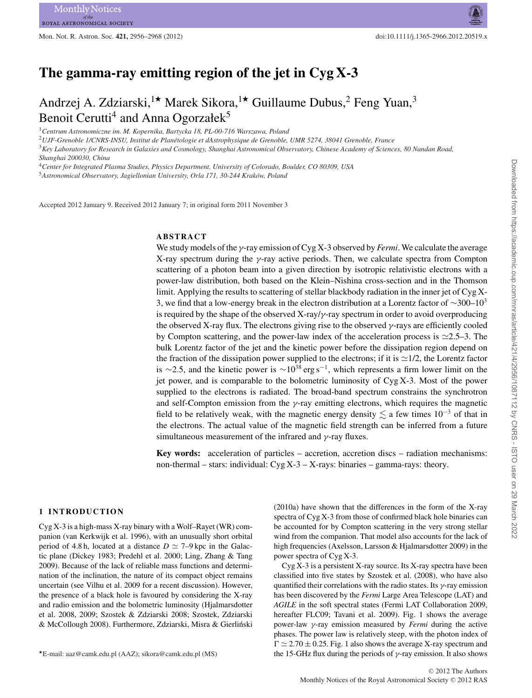Mon. Not. R. Astron. Soc. **421,** 2956–2968 (2012) doi:10.1111/j.1365-2966.2012.20519.x

# **The gamma-ray emitting region of the jet in Cyg X-3**

# Andrzej A. Zdziarski,<sup>1\*</sup> Marek Sikora,<sup>1\*</sup> Guillaume Dubus,<sup>2</sup> Feng Yuan,<sup>3</sup> Benoit Cerutti<sup>4</sup> and Anna Ogorzałek<sup>5</sup>

<sup>1</sup>*Centrum Astronomiczne im. M. Kopernika, Bartycka 18, PL-00-716 Warszawa, Poland*

<sup>2</sup>*UJF-Grenoble 1/CNRS-INSU, Institut de Planetologie et dAstrophysique de Grenoble, UMR 5274, 38041 Grenoble, France ´*

<sup>3</sup>*Key Laboratory for Research in Galaxies and Cosmology, Shanghai Astronomical Observatory, Chinese Academy of Sciences, 80 Nandan Road, Shanghai 200030, China*

<sup>4</sup>*Center for Integrated Plasma Studies, Physics Department, University of Colorado, Boulder, CO 80309, USA*

<sup>5</sup>*Astronomical Observatory, Jagiellonian University, Orla 171, 30-244 Krakow, Poland ´*

Accepted 2012 January 9. Received 2012 January 7; in original form 2011 November 3

# **ABSTRACT**

We study models of the γ-ray emission of Cyg X-3 observed by *Fermi*. We calculate the average X-ray spectrum during the  $\gamma$ -ray active periods. Then, we calculate spectra from Compton scattering of a photon beam into a given direction by isotropic relativistic electrons with a power-law distribution, both based on the Klein–Nishina cross-section and in the Thomson limit. Applying the results to scattering of stellar blackbody radiation in the inner jet of Cyg X-3, we find that a low-energy break in the electron distribution at a Lorentz factor of  $\sim$ 300–10<sup>3</sup> is required by the shape of the observed X-ray/ $\gamma$ -ray spectrum in order to avoid overproducing the observed X-ray flux. The electrons giving rise to the observed  $\gamma$ -rays are efficiently cooled by Compton scattering, and the power-law index of the acceleration process is  $\approx$ 2.5–3. The bulk Lorentz factor of the jet and the kinetic power before the dissipation region depend on the fraction of the dissipation power supplied to the electrons; if it is  $\simeq$ 1/2, the Lorentz factor is ∼2.5, and the kinetic power is ∼10<sup>38</sup> erg s<sup>-1</sup>, which represents a firm lower limit on the jet power, and is comparable to the bolometric luminosity of Cyg X-3. Most of the power supplied to the electrons is radiated. The broad-band spectrum constrains the synchrotron and self-Compton emission from the  $\gamma$ -ray emitting electrons, which requires the magnetic field to be relatively weak, with the magnetic energy density  $\lesssim$  a few times 10<sup>-3</sup> of that in the electrons. The actual value of the magnetic field strength can be inferred from a future simultaneous measurement of the infrared and  $\gamma$ -ray fluxes.

**Key words:** acceleration of particles – accretion, accretion discs – radiation mechanisms: non-thermal – stars: individual: Cyg X-3 – X-rays: binaries – gamma-rays: theory.

### **1 INTRODUCTION**

Cyg X-3 is a high-mass X-ray binary with a Wolf–Rayet (WR) companion (van Kerkwijk et al. 1996), with an unusually short orbital period of 4.8 h, located at a distance  $D \simeq 7-9$  kpc in the Galactic plane (Dickey 1983; Predehl et al. 2000; Ling, Zhang & Tang 2009). Because of the lack of reliable mass functions and determination of the inclination, the nature of its compact object remains uncertain (see Vilhu et al. 2009 for a recent discussion). However, the presence of a black hole is favoured by considering the X-ray and radio emission and the bolometric luminosity (Hjalmarsdotter et al. 2008, 2009; Szostek & Zdziarski 2008; Szostek, Zdziarski & McCollough 2008). Furthermore, Zdziarski, Misra & Gierliński

(2010a) have shown that the differences in the form of the X-ray spectra of Cyg X-3 from those of confirmed black hole binaries can be accounted for by Compton scattering in the very strong stellar wind from the companion. That model also accounts for the lack of high frequencies (Axelsson, Larsson & Hjalmarsdotter 2009) in the power spectra of Cyg X-3.

Cyg X-3 is a persistent X-ray source. Its X-ray spectra have been classified into five states by Szostek et al. (2008), who have also quantified their correlations with the radio states. Its  $\gamma$ -ray emission has been discovered by the *Fermi* Large Area Telescope (LAT) and *AGILE* in the soft spectral states (Fermi LAT Collaboration 2009, hereafter FLC09; Tavani et al. 2009). Fig. 1 shows the average power-law γ-ray emission measured by *Fermi* during the active phases. The power law is relatively steep, with the photon index of  $\Gamma \simeq 2.70 \pm 0.25$ . Fig. 1 also shows the average X-ray spectrum and the 15-GHz flux during the periods of  $\gamma$ -ray emission. It also shows

<sup>-</sup>E-mail: aaz@camk.edu.pl (AAZ); sikora@camk.edu.pl (MS)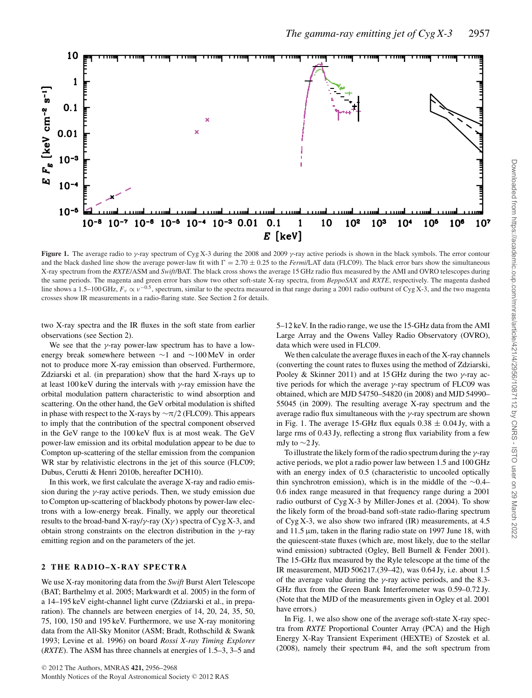

**Figure 1.** The average radio to γ-ray spectrum of Cyg X-3 during the 2008 and 2009 γ-ray active periods is shown in the black symbols. The error contour and the black dashed line show the average power-law fit with  $\Gamma = 2.70 \pm 0.25$  to the *Fermi*/LAT data (FLC09). The black error bars show the simultaneous X-ray spectrum from the *RXTE*/ASM and *Swift*/BAT. The black cross shows the average 15 GHz radio flux measured by the AMI and OVRO telescopes during the same periods. The magenta and green error bars show two other soft-state X-ray spectra, from *BeppoSAX* and *RXTE*, respectively. The magenta dashed line shows a 1.5–100 GHz,  $F_v \propto v^{-0.5}$ , spectrum, similar to the spectra measured in that range during a 2001 radio outburst of Cyg X-3, and the two magenta crosses show IR measurements in a radio-flaring state. See Section 2 for details.

two X-ray spectra and the IR fluxes in the soft state from earlier observations (see Section 2).

We see that the  $\gamma$ -ray power-law spectrum has to have a lowenergy break somewhere between ∼1 and ∼100 MeV in order not to produce more X-ray emission than observed. Furthermore, Zdziarski et al. (in preparation) show that the hard X-rays up to at least 100 keV during the intervals with  $\gamma$ -ray emission have the orbital modulation pattern characteristic to wind absorption and scattering. On the other hand, the GeV orbital modulation is shifted in phase with respect to the X-rays by  $\sim \pi/2$  (FLC09). This appears to imply that the contribution of the spectral component observed in the GeV range to the 100 keV flux is at most weak. The GeV power-law emission and its orbital modulation appear to be due to Compton up-scattering of the stellar emission from the companion WR star by relativistic electrons in the jet of this source (FLC09; Dubus, Cerutti & Henri 2010b, hereafter DCH10).

In this work, we first calculate the average X-ray and radio emission during the  $\gamma$ -ray active periods. Then, we study emission due to Compton up-scattering of blackbody photons by power-law electrons with a low-energy break. Finally, we apply our theoretical results to the broad-band X-ray/ $\gamma$ -ray (X $\gamma$ ) spectra of Cyg X-3, and obtain strong constraints on the electron distribution in the  $\gamma$ -ray emitting region and on the parameters of the jet.

# **2 THE RADIO–X-RAY SPECTRA**

We use X-ray monitoring data from the *Swift* Burst Alert Telescope (BAT; Barthelmy et al. 2005; Markwardt et al. 2005) in the form of a 14–195 keV eight-channel light curve (Zdziarski et al., in preparation). The channels are between energies of 14, 20, 24, 35, 50, 75, 100, 150 and 195 keV. Furthermore, we use X-ray monitoring data from the All-Sky Monitor (ASM; Bradt, Rothschild & Swank 1993; Levine et al. 1996) on board *Rossi X-ray Timing Explorer* (*RXTE*). The ASM has three channels at energies of 1.5–3, 3–5 and

5–12 keV. In the radio range, we use the 15-GHz data from the AMI Large Array and the Owens Valley Radio Observatory (OVRO), data which were used in FLC09.

We then calculate the average fluxes in each of the X-ray channels (converting the count rates to fluxes using the method of Zdziarski, Pooley & Skinner 2011) and at 15 GHz during the two  $\gamma$ -ray active periods for which the average  $\gamma$ -ray spectrum of FLC09 was obtained, which are MJD 54750–54820 (in 2008) and MJD 54990– 55045 (in 2009). The resulting average X-ray spectrum and the average radio flux simultaneous with the  $\gamma$ -ray spectrum are shown in Fig. 1. The average 15-GHz flux equals  $0.38 \pm 0.04$  Jy, with a large rms of 0.43 Jy, reflecting a strong flux variability from a few mJy to  $\sim$ 2 Jy.

To illustrate the likely form of the radio spectrum during the  $\gamma$ -ray active periods, we plot a radio power law between 1.5 and 100 GHz with an energy index of 0.5 (characteristic to uncooled optically thin synchrotron emission), which is in the middle of the ∼0.4– 0.6 index range measured in that frequency range during a 2001 radio outburst of Cyg X-3 by Miller-Jones et al. (2004). To show the likely form of the broad-band soft-state radio-flaring spectrum of Cyg X-3, we also show two infrared (IR) measurements, at 4.5 and 11.5 μm, taken in the flaring radio state on 1997 June 18, with the quiescent-state fluxes (which are, most likely, due to the stellar wind emission) subtracted (Ogley, Bell Burnell & Fender 2001). The 15-GHz flux measured by the Ryle telescope at the time of the IR measurement, MJD 506217.(39–42), was 0.64 Jy, i.e. about 1.5 of the average value during the  $\gamma$ -ray active periods, and the 8.3-GHz flux from the Green Bank Interferometer was 0.59–0.72 Jy. (Note that the MJD of the measurements given in Ogley et al. 2001 have errors.)

In Fig. 1, we also show one of the average soft-state X-ray spectra from *RXTE* Proportional Counter Array (PCA) and the High Energy X-Ray Transient Experiment (HEXTE) of Szostek et al. (2008), namely their spectrum #4, and the soft spectrum from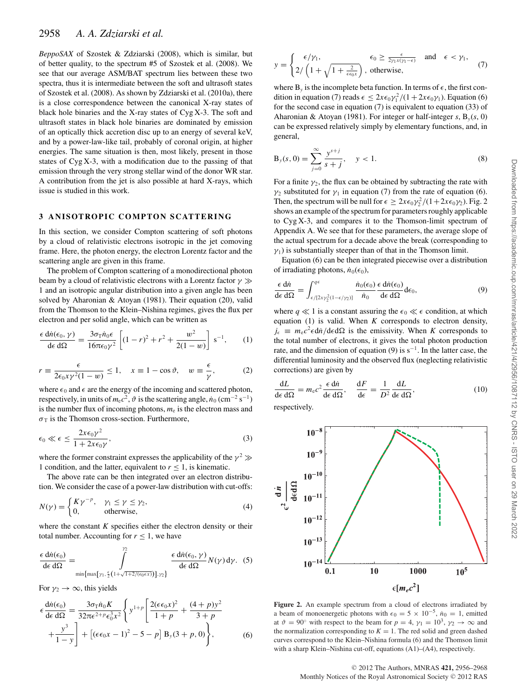*BeppoSAX* of Szostek & Zdziarski (2008), which is similar, but of better quality, to the spectrum #5 of Szostek et al. (2008). We see that our average ASM/BAT spectrum lies between these two spectra, thus it is intermediate between the soft and ultrasoft states of Szostek et al. (2008). As shown by Zdziarski et al. (2010a), there is a close correspondence between the canonical X-ray states of black hole binaries and the X-ray states of Cyg X-3. The soft and ultrasoft states in black hole binaries are dominated by emission of an optically thick accretion disc up to an energy of several keV, and by a power-law-like tail, probably of coronal origin, at higher energies. The same situation is then, most likely, present in those states of Cyg X-3, with a modification due to the passing of that emission through the very strong stellar wind of the donor WR star. A contribution from the jet is also possible at hard X-rays, which issue is studied in this work.

# **3 ANISOTROPIC COMPTON SCATTERING**

In this section, we consider Compton scattering of soft photons by a cloud of relativistic electrons isotropic in the jet comoving frame. Here, the photon energy, the electron Lorentz factor and the scattering angle are given in this frame.

The problem of Compton scattering of a monodirectional photon beam by a cloud of relativistic electrons with a Lorentz factor  $\gamma \gg$ 1 and an isotropic angular distribution into a given angle has been solved by Aharonian & Atoyan (1981). Their equation (20), valid from the Thomson to the Klein–Nishina regimes, gives the flux per electron and per solid angle, which can be written as

$$
\frac{\epsilon \operatorname{d}\dot{n}(\epsilon_0, \gamma)}{\det \mathrm{d}\Omega} = \frac{3\sigma_{\mathrm{T}}\dot{n}_0 \epsilon}{16\pi\epsilon_0\gamma^2} \left[ (1-r)^2 + r^2 + \frac{w^2}{2(1-w)} \right] \,\mathrm{s}^{-1},\qquad(1)
$$

$$
r \equiv \frac{\epsilon}{2\epsilon_0 x \gamma^2 (1 - w)} \le 1, \quad x \equiv 1 - \cos \vartheta, \quad w \equiv \frac{\epsilon}{\gamma}, \tag{2}
$$

where  $\epsilon_0$  and  $\epsilon$  are the energy of the incoming and scattered photon, respectively, in units of  $m_ec^2$ ,  $\vartheta$  is the scattering angle,  $\dot{n}_0$  (cm<sup>-2</sup> s<sup>-1</sup>) is the number flux of incoming photons,  $m<sub>e</sub>$  is the electron mass and  $\sigma$ <sup>T</sup> is the Thomson cross-section. Furthermore,

$$
\epsilon_0 \ll \epsilon \le \frac{2x\epsilon_0\gamma^2}{1 + 2x\epsilon_0\gamma},\tag{3}
$$

where the former constraint expresses the applicability of the  $\gamma^2 \gg$ 1 condition, and the latter, equivalent to *r* ≤ 1, is kinematic.

The above rate can be then integrated over an electron distribution. We consider the case of a power-law distribution with cut-offs:

$$
N(\gamma) = \begin{cases} K\gamma^{-p}, & \gamma_1 \le \gamma \le \gamma_2, \\ 0, & \text{otherwise,} \end{cases}
$$
 (4)

where the constant  $K$  specifies either the electron density or their total number. Accounting for  $r \leq 1$ , we have

$$
\frac{\epsilon \, \mathrm{d}\dot{n}(\epsilon_0)}{\mathrm{d}\epsilon \, \mathrm{d}\Omega} = \int\limits_{\min\{\max\{\gamma_1, \frac{\epsilon}{2}(1+\sqrt{1+2/(\epsilon_0 \epsilon x)})\}, \gamma_2\}}^{\gamma_2} \frac{\epsilon \, \mathrm{d}\dot{n}(\epsilon_0, \gamma)}{\mathrm{d}\epsilon \, \mathrm{d}\Omega} N(\gamma) \, \mathrm{d}\gamma. \tag{5}
$$

For  $\gamma_2 \rightarrow \infty$ , this yields

$$
\epsilon \frac{d\dot{n}(\epsilon_0)}{d\epsilon d\Omega} = \frac{3\sigma_{\rm T}\dot{n}_0 K}{32\pi\epsilon^{2+p}\epsilon_0^3 x^2} \left\{ y^{1+p} \left[ \frac{2(\epsilon\epsilon_0 x)^2}{1+p} + \frac{(4+p)y^2}{3+p} + \frac{y^3}{1-y} \right] + [(\epsilon\epsilon_0 x - 1)^2 - 5 - p] B_y(3+p,0) \right\},\tag{6}
$$

$$
y = \begin{cases} \epsilon/\gamma_1, & \epsilon_0 \ge \frac{\epsilon}{2\gamma_1 x (\gamma_1 - \epsilon)} \text{ and } \epsilon < \gamma_1, \\ 2/\left(1 + \sqrt{1 + \frac{2}{\epsilon \epsilon_0 x}}\right), \text{ otherwise,} \end{cases}
$$
(7)

where  $B_y$  is the incomplete beta function. In terms of  $\epsilon$ , the first condition in equation (7) reads  $\epsilon \leq 2x\epsilon_0\gamma_1^2/(1+2x\epsilon_0\gamma_1)$ . Equation (6) for the second case in equation (7) is equivalent to equation (33) of Aharonian & Atoyan (1981). For integer or half-integer *s*, B*y*(*s*, 0) can be expressed relatively simply by elementary functions, and, in general,

$$
B_y(s, 0) = \sum_{j=0}^{\infty} \frac{y^{s+j}}{s+j}, \quad y < 1.
$$
 (8)

For a finite  $\gamma_2$ , the flux can be obtained by subtracting the rate with  $\gamma_2$  substituted for  $\gamma_1$  in equation (7) from the rate of equation (6). Then, the spectrum will be null for  $\epsilon \geq 2x \epsilon_0 \gamma_2^2/(1+2x \epsilon_0 \gamma_2)$ . Fig. 2 shows an example of the spectrum for parameters roughly applicable to Cyg X-3, and compares it to the Thomson-limit spectrum of Appendix A. We see that for these parameters, the average slope of the actual spectrum for a decade above the break (corresponding to  $\gamma_1$ ) is substantially steeper than of that in the Thomson limit.

Equation (6) can be then integrated piecewise over a distribution of irradiating photons,  $\dot{n}_0(\epsilon_0)$ ,

$$
\frac{\epsilon \, d\dot{n}}{d\epsilon \, d\Omega} = \int_{\epsilon/[2xy_2^2(1-\epsilon/\gamma_2)]}^{q\epsilon} \frac{\dot{n}_0(\epsilon_0)}{\dot{n}_0} \frac{\epsilon \, d\dot{n}(\epsilon_0)}{d\epsilon \, d\Omega} d\epsilon_0,\tag{9}
$$

where  $q \ll 1$  is a constant assuring the  $\epsilon_0 \ll \epsilon$  condition, at which equation (1) is valid. When *K* corresponds to electron density,  $j_{\epsilon} \equiv m_{\rm e} c^2 \epsilon d\dot{n}/d\epsilon d\Omega$  is the emissivity. When *K* corresponds to the total number of electrons, it gives the total photon production rate, and the dimension of equation (9) is  $s^{-1}$ . In the latter case, the differential luminosity and the observed flux (neglecting relativistic corrections) are given by

$$
\frac{dL}{d\epsilon d\Omega} = m_e c^2 \frac{\epsilon d\dot{n}}{d\epsilon d\Omega}, \quad \frac{dF}{d\epsilon} = \frac{1}{D^2} \frac{dL}{d\epsilon d\Omega},
$$
\n(10)

respectively.



Figure 2. An example spectrum from a cloud of electrons irradiated by a beam of monoenergetic photons with  $\epsilon_0 = 5 \times 10^{-5}$ ,  $\dot{n}_0 = 1$ , emitted at  $\vartheta = 90^\circ$  with respect to the beam for  $p = 4$ ,  $\gamma_1 = 10^3$ ,  $\gamma_2 \to \infty$  and the normalization corresponding to  $K = 1$ . The red solid and green dashed curves correspond to the Klein–Nishina formula (6) and the Thomson limit with a sharp Klein–Nishina cut-off, equations (A1)–(A4), respectively.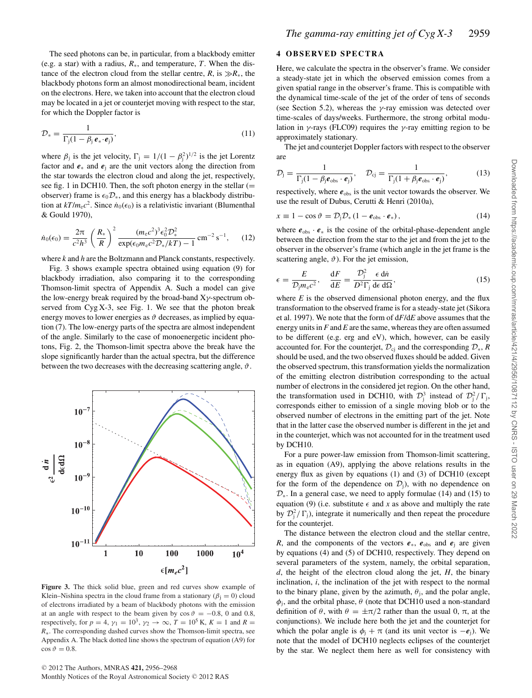The seed photons can be, in particular, from a blackbody emitter (e.g. a star) with a radius, *R*∗, and temperature, *T*. When the distance of the electron cloud from the stellar centre,  $R$ , is  $\gg R$ <sup>\*</sup>, the blackbody photons form an almost monodirectional beam, incident on the electrons. Here, we taken into account that the electron cloud may be located in a jet or counterjet moving with respect to the star, for which the Doppler factor is

$$
\mathcal{D}_* = \frac{1}{\Gamma_j (1 - \beta_j \, \boldsymbol{\ell}_* \cdot \boldsymbol{\ell}_j)},\tag{11}
$$

where  $\beta_j$  is the jet velocity,  $\Gamma_j = 1/(1 - \beta_j^2)^{1/2}$  is the jet Lorentz factor and  $e$ <sub>\*</sub> and  $e$ <sub>i</sub> are the unit vectors along the direction from the star towards the electron cloud and along the jet, respectively, see fig. 1 in DCH10. Then, the soft photon energy in the stellar  $(=$ observer) frame is  $\epsilon_0 \mathcal{D}_*$ , and this energy has a blackbody distribution at  $kT/m_ec^2$ . Since  $\dot{n}_0(\epsilon_0)$  is a relativistic invariant (Blumenthal & Gould 1970),

$$
\dot{n}_0(\epsilon_0) = \frac{2\pi}{c^2 h^3} \left(\frac{R_*}{R}\right)^2 \frac{(m_e c^2)^3 \epsilon_0^2 \mathcal{D}_*^2}{\exp(\epsilon_0 m_e c^2 \mathcal{D}_* / kT) - 1} \, \text{cm}^{-2} \, \text{s}^{-1},\qquad(12)
$$

where *k* and *h* are the Boltzmann and Planck constants, respectively.

Fig. 3 shows example spectra obtained using equation (9) for blackbody irradiation, also comparing it to the corresponding Thomson-limit spectra of Appendix A. Such a model can give the low-energy break required by the broad-band  $X\gamma$ -spectrum observed from Cyg X-3, see Fig. 1. We see that the photon break energy moves to lower energies as  $\vartheta$  decreases, as implied by equation (7). The low-energy parts of the spectra are almost independent of the angle. Similarly to the case of monoenergetic incident photons, Fig. 2, the Thomson-limit spectra above the break have the slope significantly harder than the actual spectra, but the difference between the two decreases with the decreasing scattering angle,  $\vartheta$ .



**Figure 3.** The thick solid blue, green and red curves show example of Klein–Nishina spectra in the cloud frame from a stationary ( $\beta_i = 0$ ) cloud of electrons irradiated by a beam of blackbody photons with the emission at an angle with respect to the beam given by  $\cos \theta = -0.8$ , 0 and 0.8, respectively, for  $p = 4$ ,  $\gamma_1 = 10^3$ ,  $\gamma_2 \rightarrow \infty$ ,  $T = 10^5$  K,  $K = 1$  and  $R =$ *R*<sup>∗</sup>. The corresponding dashed curves show the Thomson-limit spectra, see Appendix A. The black dotted line shows the spectrum of equation (A9) for  $\cos \vartheta = 0.8$ .

### **4 OBSERVED SPECTRA**

Here, we calculate the spectra in the observer's frame. We consider a steady-state jet in which the observed emission comes from a given spatial range in the observer's frame. This is compatible with the dynamical time-scale of the jet of the order of tens of seconds (see Section 5.2), whereas the  $\gamma$ -ray emission was detected over time-scales of days/weeks. Furthermore, the strong orbital modulation in  $\gamma$ -rays (FLC09) requires the  $\gamma$ -ray emitting region to be approximately stationary.

The jet and counterjet Doppler factors with respect to the observer are

$$
\mathcal{D}_{\mathbf{j}} = \frac{1}{\Gamma_{\mathbf{j}}(1 - \beta_{\mathbf{j}} \mathbf{e}_{\text{obs}} \cdot \mathbf{e}_{\mathbf{j}})}, \quad \mathcal{D}_{\mathbf{c}\mathbf{j}} = \frac{1}{\Gamma_{\mathbf{j}}(1 + \beta_{\mathbf{j}} \mathbf{e}_{\text{obs}} \cdot \mathbf{e}_{\mathbf{j}})},\tag{13}
$$

respectively, where  $e_{obs}$  is the unit vector towards the observer. We use the result of Dubus, Cerutti & Henri (2010a),

$$
x \equiv 1 - \cos \vartheta = \mathcal{D}_j \mathcal{D}_* (1 - \boldsymbol{e}_{obs} \cdot \boldsymbol{e}_*), \qquad (14)
$$

where  $e_{obs} \cdot e_*$  is the cosine of the orbital-phase-dependent angle between the direction from the star to the jet and from the jet to the observer in the observer's frame (which angle in the jet frame is the scattering angle,  $\vartheta$ ). For the jet emission,

$$
\epsilon = \frac{E}{\mathcal{D}_j m_e c^2}, \quad \frac{\mathrm{d}F}{\mathrm{d}E} = \frac{\mathcal{D}_j^2}{D^2 \Gamma_j} \frac{\epsilon \, \mathrm{d} \dot{n}}{\mathrm{d} \epsilon \, \mathrm{d} \Omega},\tag{15}
$$

where  $E$  is the observed dimensional photon energy, and the flux transformation to the observed frame is for a steady-state jet (Sikora et al. 1997). We note that the form of d*F*/d*E* above assumes that the energy units in *F* and *E* are the same, whereas they are often assumed to be different (e.g. erg and eV), which, however, can be easily accounted for. For the counterjet,  $\mathcal{D}_{ci}$  and the corresponding  $\mathcal{D}_{*}$ , *R* should be used, and the two observed fluxes should be added. Given the observed spectrum, this transformation yields the normalization of the emitting electron distribution corresponding to the actual number of electrons in the considered jet region. On the other hand, the transformation used in DCH10, with  $\mathcal{D}_j^3$  instead of  $\mathcal{D}_j^2/\Gamma_j$ , corresponds either to emission of a single moving blob or to the observed number of electrons in the emitting part of the jet. Note that in the latter case the observed number is different in the jet and in the counterjet, which was not accounted for in the treatment used by DCH10.

For a pure power-law emission from Thomson-limit scattering, as in equation (A9), applying the above relations results in the energy flux as given by equations (1) and (3) of DCH10 (except for the form of the dependence on  $\mathcal{D}_i$ ), with no dependence on  $\mathcal{D}_{*}$ . In a general case, we need to apply formulae (14) and (15) to equation (9) (i.e. substitute  $\epsilon$  and *x* as above and multiply the rate by  $\mathcal{D}_j^2/\Gamma_j$ ), integrate it numerically and then repeat the procedure for the counterjet.

The distance between the electron cloud and the stellar centre, *R*, and the components of the vectors  $e_{*}$ ,  $e_{obs}$  and  $e_{i}$  are given by equations (4) and (5) of DCH10, respectively. They depend on several parameters of the system, namely, the orbital separation, *d*, the height of the electron cloud along the jet, *H*, the binary inclination, *i*, the inclination of the jet with respect to the normal to the binary plane, given by the azimuth,  $\theta_i$ , and the polar angle,  $\phi_i$ , and the orbital phase,  $\theta$  (note that DCH10 used a non-standard definition of  $\theta$ , with  $\theta = \pm \pi/2$  rather than the usual 0,  $\pi$ , at the conjunctions). We include here both the jet and the counterjet for which the polar angle is  $\phi_i + \pi$  (and its unit vector is  $-e_i$ ). We note that the model of DCH10 neglects eclipses of the counterjet by the star. We neglect them here as well for consistency with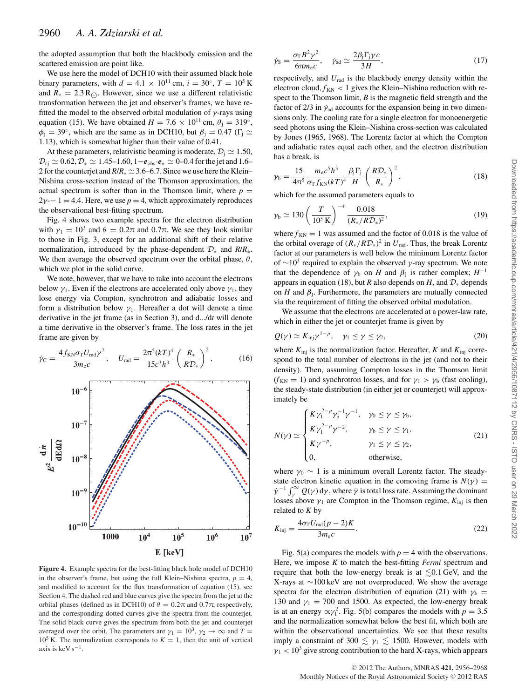the adopted assumption that both the blackbody emission and the scattered emission are point like.

We use here the model of DCH10 with their assumed black hole binary parameters, with  $d = 4.1 \times 10^{11}$  cm,  $i = 30^\circ$ ,  $T = 10^5$  K and  $R_* = 2.3 R_{\odot}$ . However, since we use a different relativistic transformation between the jet and observer's frames, we have refitted the model to the observed orbital modulation of  $\gamma$ -rays using equation (15). We have obtained  $H = 7.6 \times 10^{11}$  cm,  $\theta_i = 319^\circ$ ,  $\phi_i = 39^\circ$ , which are the same as in DCH10, but  $\beta_i = 0.47$  ( $\Gamma_i \simeq$ 1.13), which is somewhat higher than their value of 0.41.

At these parameters, relativistic beaming is moderate,  $\mathcal{D}_i \simeq 1.50$ ,  $\mathcal{D}_{ci} \simeq 0.62, \mathcal{D}_{*} \simeq 1.45-1.60, 1-e_{obs} \cdot \mathbf{e}_{*} \simeq 0-0.4$  for the jet and 1.6– 2 for the counterjet and  $R/R_* \simeq 3.6-6.7$ . Since we use here the Klein– Nishina cross-section instead of the Thomson approximation, the actual spectrum is softer than in the Thomson limit, where  $p =$  $2\gamma-1=4.4$ . Here, we use  $p=4$ , which approximately reproduces the observational best-fitting spectrum.

Fig. 4 shows two example spectra for the electron distribution with  $\gamma_1 = 10^3$  and  $\theta = 0.2\pi$  and  $0.7\pi$ . We see they look similar to those in Fig. 3, except for an additional shift of their relative normalization, introduced by the phase-dependent D<sup>∗</sup> and *R*/*R*∗. We then average the observed spectrum over the orbital phase,  $\theta$ , which we plot in the solid curve.

We note, however, that we have to take into account the electrons below  $\gamma_1$ . Even if the electrons are accelerated only above  $\gamma_1$ , they lose energy via Compton, synchrotron and adiabatic losses and form a distribution below  $\gamma_1$ . Hereafter a dot will denote a time derivative in the jet frame (as in Section 3), and d.../d*t* will denote a time derivative in the observer's frame. The loss rates in the jet frame are given by

$$
\dot{\gamma}_{\rm C} = \frac{4 f_{\rm KN} \sigma_{\rm T} U_{\rm rad} \gamma^2}{3 m_{\rm e} c}, \quad U_{\rm rad} = \frac{2 \pi^5 (kT)^4}{15 c^3 h^3} \left( \frac{R_*}{R \mathcal{D}_*} \right)^2, \tag{16}
$$



**Figure 4.** Example spectra for the best-fitting black hole model of DCH10 in the observer's frame, but using the full Klein–Nishina spectra,  $p = 4$ , and modified to account for the flux transformation of equation (15), see Section 4. The dashed red and blue curves give the spectra from the jet at the orbital phases (defined as in DCH10) of  $θ = 0.2π$  and  $0.7π$ , respectively, and the corresponding dotted curves give the spectra from the counterjet. The solid black curve gives the spectrum from both the jet and counterjet averaged over the orbit. The parameters are  $\gamma_1 = 10^3$ ,  $\gamma_2 \rightarrow \infty$  and  $T =$  $10^5$  K. The normalization corresponds to  $K = 1$ , then the unit of vertical axis is keV  $s^{-1}$ .

$$
\dot{\gamma}_{\rm S} = \frac{\sigma_{\rm T} B^2 \gamma^2}{6\pi m_{\rm e} c}, \quad \dot{\gamma}_{\rm ad} \simeq \frac{2\beta_{\rm j} \Gamma_{\rm j} \gamma c}{3H}, \tag{17}
$$

respectively, and  $U_{rad}$  is the blackbody energy density within the electron cloud,  $f_{KN}$  < 1 gives the Klein–Nishina reduction with respect to the Thomson limit, *B* is the magnetic field strength and the factor of 2/3 in  $\dot{\gamma}_{ad}$  accounts for the expansion being in two dimensions only. The cooling rate for a single electron for monoenergetic seed photons using the Klein–Nishina cross-section was calculated by Jones (1965, 1968). The Lorentz factor at which the Compton and adiabatic rates equal each other, and the electron distribution has a break, is

$$
\gamma_{\rm b} = \frac{15}{4\pi^5} \frac{m_{\rm e}c^5h^3}{\sigma_{\rm T}f_{\rm KN}(kT)^4} \frac{\beta_{\rm j}\Gamma_{\rm j}}{H} \left(\frac{R\mathcal{D}_*}{R_*}\right)^2,\tag{18}
$$

which for the assumed parameters equals to

$$
\gamma_{\rm b} \simeq 130 \left( \frac{T}{10^5 \, \text{K}} \right)^{-4} \frac{0.018}{(R_*/R \mathcal{D}_*)^2},\tag{19}
$$

where  $f_{KN} = 1$  was assumed and the factor of 0.018 is the value of the orbital overage of  $(R_*/RD_*)^2$  in  $U_{\text{rad}}$ . Thus, the break Lorentz factor at our parameters is well below the minimum Lorentz factor of ∼10<sup>3</sup> required to explain the observed  $\gamma$ -ray spectrum. We note that the dependence of  $\gamma_b$  on *H* and  $\beta_i$  is rather complex;  $H^{-1}$ appears in equation (18), but *R* also depends on *H*, and  $\mathcal{D}_*$  depends on *H* and  $\beta$ <sub>i</sub>. Furthermore, the parameters are mutually connected via the requirement of fitting the observed orbital modulation.

We assume that the electrons are accelerated at a power-law rate, which in either the jet or counterjet frame is given by

$$
Q(\gamma) \simeq K_{\rm inj} \gamma^{1-p}, \quad \gamma_1 \le \gamma \le \gamma_2, \tag{20}
$$

where  $K_{\text{ini}}$  is the normalization factor. Hereafter, *K* and  $K_{\text{ini}}$  correspond to the total number of electrons in the jet (and not to their density). Then, assuming Compton losses in the Thomson limit  $(f_{KN} = 1)$  and synchrotron losses, and for  $\gamma_1 > \gamma_b$  (fast cooling), the steady-state distribution (in either jet or counterjet) will approximately be

$$
N(\gamma) \simeq \begin{cases} K\gamma_1^{2-p}\gamma_b^{-1}\gamma^{-1}, & \gamma_0 \le \gamma \le \gamma_b, \\ K\gamma_1^{2-p}\gamma^{-2}, & \gamma_b \le \gamma \le \gamma_1, \\ K\gamma^{-p}, & \gamma_1 \le \gamma \le \gamma_2, \\ 0, & \text{otherwise,} \end{cases}
$$
(21)

where  $\gamma_0 \sim 1$  is a minimum overall Lorentz factor. The steadystate electron kinetic equation in the comoving frame is  $N(\gamma)$  =  $\dot{\gamma}^{-1} \int_{\gamma}^{\infty} Q(\gamma) d\gamma$ , where  $\dot{\gamma}$  is total loss rate. Assuming the dominant losses above  $\gamma_1$  are Compton in the Thomson regime,  $K_{\text{inj}}$  is then related to *K* by

$$
K_{\rm inj} = \frac{4\sigma_{\rm T} U_{\rm rad}(p-2)K}{3m_{\rm e}c}.
$$
\n(22)

Fig. 5(a) compares the models with  $p = 4$  with the observations. Here, we impose *K* to match the best-fitting *Fermi* spectrum and require that both the low-energy break is at  $\lesssim 0.1 \,\text{GeV}$ , and the X-rays at ∼100 keV are not overproduced. We show the average spectra for the electron distribution of equation (21) with  $\gamma_b$  = 130 and  $\gamma_1 = 700$  and 1500. As expected, the low-energy break is at an energy  $\alpha \gamma_1^2$ . Fig. 5(b) compares the models with  $p = 3.5$ and the normalization somewhat below the best fit, which both are within the observational uncertainties. We see that these results imply a constraint of 300  $\lesssim \gamma_1 \lesssim 1500$ . However, models with  $\gamma_1$  < 10<sup>3</sup> give strong contribution to the hard X-rays, which appears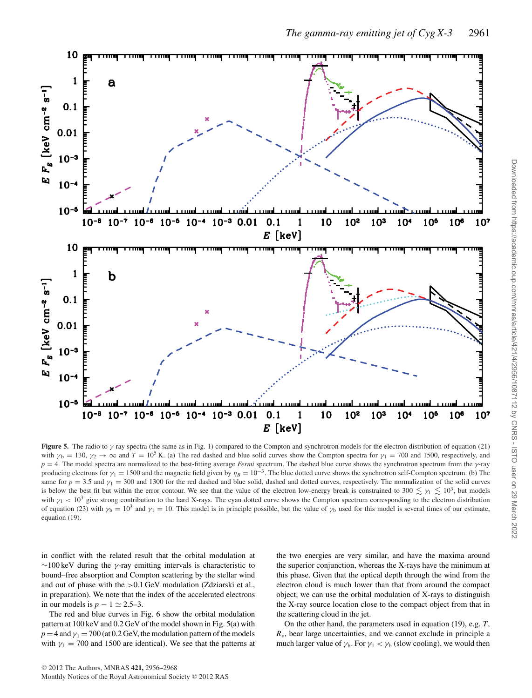

**Figure 5.** The radio to  $\gamma$ -ray spectra (the same as in Fig. 1) compared to the Compton and synchrotron models for the electron distribution of equation (21) with  $\gamma_b = 130$ ,  $\gamma_2 \to \infty$  and  $T = 10^5$  K. (a) The red dashed and blue solid curves show the Compton spectra for  $\gamma_1 = 700$  and 1500, respectively, and  $p = 4$ . The model spectra are normalized to the best-fitting average *Fermi* spectrum. The dashed blue curve shows the synchrotron spectrum from the  $\gamma$ -ray producing electrons for  $\gamma_1 = 1500$  and the magnetic field given by  $\eta_B = 10^{-3}$ . The blue dotted curve shows the synchrotron self-Compton spectrum. (b) The same for  $p = 3.5$  and  $\gamma_1 = 300$  and 1300 for the red dashed and blue solid, dashed and dotted curves, respectively. The normalization of the solid curves is below the best fit but within the error contour. We see that the value of the electron low-energy break is constrained to 300  $\lesssim \gamma_1 \lesssim 10^3$ , but models with  $\gamma_1$  < 10<sup>3</sup> give strong contribution to the hard X-rays. The cyan dotted curve shows the Compton spectrum corresponding to the electron distribution of equation (23) with  $\gamma_b = 10^3$  and  $\gamma_1 = 10$ . This model is in principle possible, but the value of  $\gamma_b$  used for this model is several times of our estimate, equation (19).

in conflict with the related result that the orbital modulation at  $\sim$ 100 keV during the γ-ray emitting intervals is characteristic to bound–free absorption and Compton scattering by the stellar wind and out of phase with the >0.1 GeV modulation (Zdziarski et al., in preparation). We note that the index of the accelerated electrons in our models is  $p - 1 \approx 2.5-3$ .

The red and blue curves in Fig. 6 show the orbital modulation pattern at 100 keV and 0.2 GeV of the model shown in Fig. 5(a) with  $p = 4$  and  $\gamma_1 = 700$  (at 0.2 GeV, the modulation pattern of the models with  $\gamma_1 = 700$  and 1500 are identical). We see that the patterns at

the two energies are very similar, and have the maxima around the superior conjunction, whereas the X-rays have the minimum at this phase. Given that the optical depth through the wind from the electron cloud is much lower than that from around the compact object, we can use the orbital modulation of X-rays to distinguish the X-ray source location close to the compact object from that in the scattering cloud in the jet.

On the other hand, the parameters used in equation (19), e.g. *T*, *R*∗, bear large uncertainties, and we cannot exclude in principle a much larger value of  $\gamma_b$ . For  $\gamma_1 < \gamma_b$  (slow cooling), we would then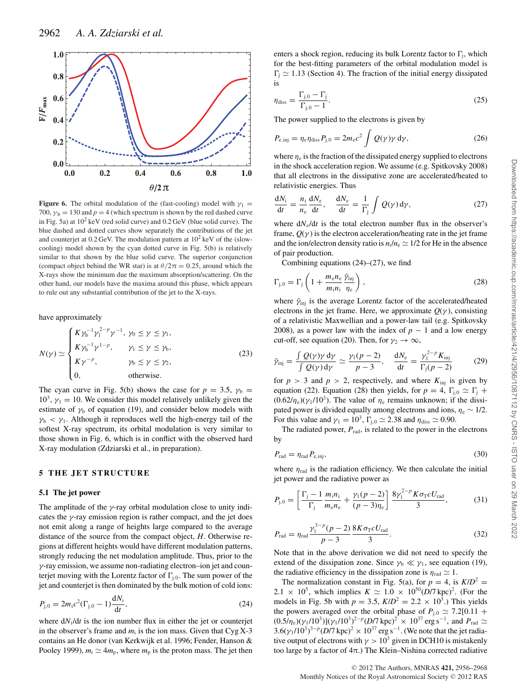

**Figure 6.** The orbital modulation of the (fast-cooling) model with  $\gamma_1$ 700,  $\gamma_b = 130$  and  $p = 4$  (which spectrum is shown by the red dashed curve in Fig. 5a) at  $10^2$  keV (red solid curve) and  $0.2$  GeV (blue solid curve). The blue dashed and dotted curves show separately the contributions of the jet and counterjet at  $0.2 \,\text{GeV}$ . The modulation pattern at  $10^2 \,\text{keV}$  of the (slowcooling) model shown by the cyan dotted curve in Fig. 5(b) is relatively similar to that shown by the blue solid curve. The superior conjunction (compact object behind the WR star) is at  $\theta/2\pi = 0.25$ , around which the X-rays show the minimum due the maximum absorption/scattering. On the other hand, our models have the maxima around this phase, which appears to rule out any substantial contribution of the jet to the X-rays.

have approximately

$$
N(\gamma) \simeq \begin{cases} K\gamma_b^{-1}\gamma_1^{2-p}\gamma^{-1}, \ \gamma_0 \le \gamma \le \gamma_1, \\ K\gamma_b^{-1}\gamma^{1-p}, \qquad \gamma_1 \le \gamma \le \gamma_b, \\ K\gamma^{-p}, \qquad \qquad \gamma_b \le \gamma \le \gamma_2, \\ 0, \qquad \qquad \text{otherwise.} \end{cases} \tag{23}
$$

The cyan curve in Fig. 5(b) shows the case for  $p = 3.5$ ,  $\gamma_b =$  $10^3$ ,  $\gamma_1 = 10$ . We consider this model relatively unlikely given the estimate of  $\gamma_b$  of equation (19), and consider below models with  $\gamma_b < \gamma_1$ . Although it reproduces well the high-energy tail of the softest X-ray spectrum, its orbital modulation is very similar to those shown in Fig. 6, which is in conflict with the observed hard X-ray modulation (Zdziarski et al., in preparation).

#### **5 THE JET STRUCTURE**

#### **5.1 The jet power**

The amplitude of the  $\gamma$ -ray orbital modulation close to unity indicates the  $\gamma$ -ray emission region is rather compact, and the jet does not emit along a range of heights large compared to the average distance of the source from the compact object, *H*. Otherwise regions at different heights would have different modulation patterns, strongly reducing the net modulation amplitude. Thus, prior to the γ-ray emission, we assume non-radiating electron–ion jet and counterjet moving with the Lorentz factor of  $\Gamma_{i,0}$ . The sum power of the jet and counterjet is then dominated by the bulk motion of cold ions:

$$
P_{j,0} = 2m_1c^2(\Gamma_{j,0} - 1)\frac{dN_i}{dt},
$$
\n(24)

where d*N*i/d*t* is the ion number flux in either the jet or counterjet in the observer's frame and  $m_i$  is the ion mass. Given that  $Cyg X-3$ contains an He donor (van Kerkwijk et al. 1996; Fender, Hanson & Pooley 1999),  $m_i \simeq 4m_p$ , where  $m_p$  is the proton mass. The jet then

enters a shock region, reducing its bulk Lorentz factor to  $\Gamma_i$ , which for the best-fitting parameters of the orbital modulation model is  $\Gamma_i \simeq 1.13$  (Section 4). The fraction of the initial energy dissipated is

$$
\eta_{\text{diss}} = \frac{\Gamma_{j,0} - \Gamma_j}{\Gamma_{j,0} - 1}.
$$
\n(25)

The power supplied to the electrons is given by

$$
P_{\rm e,inj} = \eta_{\rm e} \eta_{\rm diss} P_{\rm j,0} = 2m_{\rm e} c^2 \int Q(\gamma) \gamma \, \mathrm{d}\gamma,\tag{26}
$$

where  $\eta_e$  is the fraction of the dissipated energy supplied to electrons in the shock acceleration region. We assume (e.g. Spitkovsky 2008) that all electrons in the dissipative zone are accelerated/heated to relativistic energies. Thus

$$
\frac{dN_i}{dt} = \frac{n_i}{n_e} \frac{dN_e}{dt}, \quad \frac{dN_e}{dt} = \frac{1}{\Gamma_j} \int Q(\gamma) d\gamma,
$$
 (27)

where  $dN_e/dt$  is the total electron number flux in the observer's frame,  $Q(\gamma)$  is the electron acceleration/heating rate in the jet frame and the ion/electron density ratio is  $n_i/n_e \simeq 1/2$  for He in the absence of pair production.

Combining equations  $(24)$ – $(27)$ , we find

$$
\Gamma_{j,0} = \Gamma_j \left( 1 + \frac{m_e n_e}{m_i n_i} \frac{\tilde{\gamma}_{\text{inj}}}{\eta_e} \right),\tag{28}
$$

where  $\bar{\gamma}_{\text{inj}}$  is the average Lorentz factor of the accelerated/heated electrons in the jet frame. Here, we approximate  $Q(\gamma)$ , consisting of a relativistic Maxwellian and a power-law tail (e.g. Spitkovsky 2008), as a power law with the index of  $p - 1$  and a low energy cut-off, see equation (20). Then, for  $\gamma_2 \to \infty$ ,

$$
\bar{\gamma}_{\rm inj} = \frac{\int Q(\gamma)\gamma \, \mathrm{d}\gamma}{\int Q(\gamma) \, \mathrm{d}\gamma} \simeq \frac{\gamma_1(p-2)}{p-3}, \quad \frac{\mathrm{d}N_{\rm e}}{\mathrm{d}t} = \frac{\gamma_1^{2-p} K_{\rm inj}}{\Gamma_{\rm j}(p-2)}\tag{29}
$$

for  $p > 3$  and  $p > 2$ , respectively, and where  $K_{\text{ini}}$  is given by equation (22). Equation (28) then yields, for  $p = 4$ ,  $\Gamma_{i,0} \simeq \Gamma_i$  +  $(0.62/\eta_e)(\gamma_1/10^3)$ . The value of  $\eta_e$  remains unknown; if the dissipated power is divided equally among electrons and ions,  $\eta_e \sim 1/2$ . For this value and  $\gamma_1 = 10^3$ ,  $\Gamma_{j,0} \simeq 2.38$  and  $\eta_{\text{diss}} \simeq 0.90$ .

The radiated power,  $P_{rad}$ , is related to the power in the electrons by

$$
P_{\rm rad} = \eta_{\rm rad} P_{\rm e, inj},\tag{30}
$$

where  $\eta_{rad}$  is the radiation efficiency. We then calculate the initial jet power and the radiative power as

$$
P_{j,0} = \left[\frac{\Gamma_j - 1}{\Gamma_j} \frac{m_i n_i}{m_e n_e} + \frac{\gamma_1 (p-2)}{(p-3)\eta_e}\right] \frac{8\gamma_1^{2-p} K \sigma_T c U_{\text{rad}}}{3},\tag{31}
$$

$$
P_{\rm rad} = \eta_{\rm rad} \frac{\gamma_1^{3-p} (p-2)}{p-3} \frac{8K \sigma_{\rm T} c U_{\rm rad}}{3}.
$$
 (32)

Note that in the above derivation we did not need to specify the extend of the dissipation zone. Since  $\gamma_b \ll \gamma_1$ , see equation (19), the radiative efficiency in the dissipation zone is  $\eta_{rad} \simeq 1$ .

The normalization constant in Fig. 5(a), for  $p = 4$ , is  $K/D^2 =$ 2.1  $\times$  10<sup>5</sup>, which implies  $K \simeq 1.0 \times 10^{50} (D/7 \,\text{kpc})^2$ . (For the models in Fig. 5b with  $p = 3.5$ ,  $K/D^2 = 2.2 \times 10^3$ .) This yields the powers averaged over the orbital phase of  $P_{i,0} \simeq 7.2[0.11 +$  $(0.5/\eta_e)(\gamma_1/10^3)[(\gamma_1/10^3)^{2-p}(D/7 \text{ kpc})^2 \times 10^{37} \text{ erg s}^{-1}$ , and  $P_{\text{rad}} \simeq$  $3.6(\gamma_1/10^3)^{3-p} (D/7 \text{ kpc})^2 \times 10^{37} \text{ erg s}^{-1}$ . (We note that the jet radiative output of electrons with  $\gamma > 10^3$  given in DCH10 is mistakenly too large by a factor of 4π.) The Klein–Nishina corrected radiative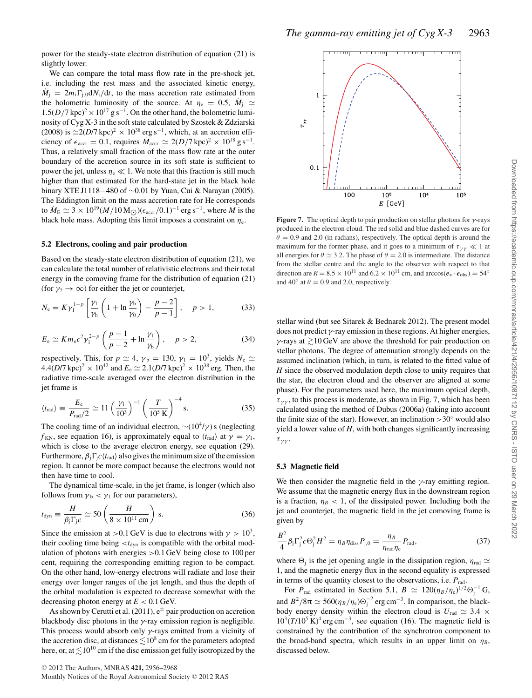We can compare the total mass flow rate in the pre-shock jet, i.e. including the rest mass and the associated kinetic energy,  $\dot{M}_i = 2m_i\Gamma_{i,0}dN_i/dt$ , to the mass accretion rate estimated from the bolometric luminosity of the source. At  $\eta_e = 0.5$ ,  $\dot{M}_i \simeq$  $1.5(D/7 \text{ kpc})^2 \times 10^{17} \text{ g s}^{-1}$ . On the other hand, the bolometric luminosity of Cyg X-3 in the soft state calculated by Szostek & Zdziarski (2008) is  $\approx$ 2(*D*/7 kpc)<sup>2</sup> × 10<sup>38</sup> erg s<sup>-1</sup>, which, at an accretion efficiency of  $\epsilon_{\text{accr}} = 0.1$ , requires  $\dot{M}_{\text{accr}} \simeq 2(D/7 \,\text{kpc})^2 \times 10^{18} \,\text{g s}^{-1}$ . Thus, a relatively small fraction of the mass flow rate at the outer boundary of the accretion source in its soft state is sufficient to power the jet, unless  $\eta_e \ll 1$ . We note that this fraction is still much higher than that estimated for the hard-state jet in the black hole binary XTE J1118−480 of ∼0.01 by Yuan, Cui & Narayan (2005). The Eddington limit on the mass accretion rate for He corresponds to  $\dot{M}_{\rm E} \simeq 3 \times 10^{19} (M/10 \,\rm M_{\odot}) (\epsilon_{\rm accr}/0.1)^{-1}$  erg s<sup>-1</sup>, where *M* is the black hole mass. Adopting this limit imposes a constraint on  $\eta_e$ .

#### **5.2 Electrons, cooling and pair production**

Based on the steady-state electron distribution of equation (21), we can calculate the total number of relativistic electrons and their total energy in the comoving frame for the distribution of equation (21) (for  $\gamma_2 \rightarrow \infty$ ) for either the jet or counterjet,

$$
N_{\rm e} = K \gamma_1^{1-p} \left[ \frac{\gamma_1}{\gamma_{\rm b}} \left( 1 + \ln \frac{\gamma_{\rm b}}{\gamma_0} \right) - \frac{p-2}{p-1} \right], \quad p > 1,
$$
 (33)

$$
E_e \simeq K m_e c^2 \gamma_1^{2-p} \left( \frac{p-1}{p-2} + \ln \frac{\gamma_1}{\gamma_b} \right), \quad p > 2,
$$
 (34)

respectively. This, for  $p \simeq 4$ ,  $\gamma_b = 130$ ,  $\gamma_1 = 10^3$ , yields  $N_e \simeq$  $4.4(D/7 \text{ kpc})^2 \times 10^{42}$  and  $E_e \simeq 2.1(D/7 \text{ kpc})^2 \times 10^{38}$  erg. Then, the radiative time-scale averaged over the electron distribution in the jet frame is

$$
\langle t_{\rm rad} \rangle \equiv \frac{E_{\rm e}}{P_{\rm rad}/2} \simeq 11 \left( \frac{\gamma_1}{10^3} \right)^{-1} \left( \frac{T}{10^5 \,\mathrm{K}} \right)^{-4} \,\mathrm{s}.\tag{35}
$$

The cooling time of an individual electron,  $\sim$ (10<sup>4</sup>/γ) s (neglecting  $f_{KN}$ , see equation 16), is approximately equal to  $\langle t_{rad} \rangle$  at  $\gamma = \gamma_1$ , which is close to the average electron energy, see equation (29). Furthermore,  $\beta_i \Gamma_i c \langle t_{\rm rad} \rangle$  also gives the minimum size of the emission region. It cannot be more compact because the electrons would not then have time to cool.

The dynamical time-scale, in the jet frame, is longer (which also follows from  $\gamma_b < \gamma_1$  for our parameters),

$$
t_{\rm dyn} \equiv \frac{H}{\beta_{\rm j} \Gamma_{\rm j} c} \simeq 50 \left( \frac{H}{8 \times 10^{11} \,\rm cm} \right) \,\mathrm{s}.\tag{36}
$$

Since the emission at >0.1 GeV is due to electrons with  $\gamma > 10^3$ , their cooling time being  $< t_{\text{dyn}}$  is compatible with the orbital modulation of photons with energies >0.1 GeV being close to 100 per cent, requiring the corresponding emitting region to be compact. On the other hand, low-energy electrons will radiate and lose their energy over longer ranges of the jet length, and thus the depth of the orbital modulation is expected to decrease somewhat with the decreasing photon energy at *E* < 0.1 GeV.

As shown by Cerutti et al. (2011),  $e^{\pm}$  pair production on accretion blackbody disc photons in the  $\gamma$ -ray emission region is negligible. This process would absorb only  $\gamma$ -rays emitted from a vicinity of the accretion disc, at distances  $\lesssim\!10^8\,\mathrm{cm}$  for the parameters adopted here, or, at  $\lesssim$  10<sup>10</sup> cm if the disc emission get fully isotropized by the



**Figure 7.** The optical depth to pair production on stellar photons for  $\gamma$ -rays produced in the electron cloud. The red solid and blue dashed curves are for  $\theta = 0.9$  and 2.0 (in radians), respectively. The optical depth is around the maximum for the former phase, and it goes to a minimum of  $\tau_{\gamma\gamma} \ll 1$  at all energies for  $\theta \simeq 3.2$ . The phase of  $\theta = 2.0$  is intermediate. The distance from the stellar centre and the angle to the observer with respect to that direction are  $R = 8.5 \times 10^{11}$  and  $6.2 \times 10^{11}$  cm, and arccos( $e_* \cdot \hat{e}_{obs}$ ) = 54° and 40 $\degree$  at  $\theta = 0.9$  and 2.0, respectively.

stellar wind (but see Sitarek & Bednarek 2012). The present model does not predict  $\gamma$ -ray emission in these regions. At higher energies,  $\gamma$ -rays at  $\geq 10$  GeV are above the threshold for pair production on stellar photons. The degree of attenuation strongly depends on the assumed inclination (which, in turn, is related to the fitted value of *H* since the observed modulation depth close to unity requires that the star, the electron cloud and the observer are aligned at some phase). For the parameters used here, the maximum optical depth,  $\tau_{\nu\nu}$ , to this process is moderate, as shown in Fig. 7, which has been calculated using the method of Dubus (2006a) (taking into account the finite size of the star). However, an inclination  $>30°$  would also yield a lower value of *H*, with both changes significantly increasing  $\tau_{\gamma\gamma}$ .

#### **5.3 Magnetic field**

We then consider the magnetic field in the  $\gamma$ -ray emitting region. We assume that the magnetic energy flux in the downstream region is a fraction,  $\eta_B < 1$ , of the dissipated power. Including both the jet and counterjet, the magnetic field in the jet comoving frame is given by

$$
\frac{B^2}{4}\beta_{\rm j}\Gamma_{\rm j}^2 c\Theta_{\rm j}^2 H^2 = \eta_B \eta_{\rm diss} P_{\rm j,0} = \frac{\eta_B}{\eta_{\rm rad}\eta_{\rm e}} P_{\rm rad},\tag{37}
$$

where  $\Theta_i$  is the jet opening angle in the dissipation region,  $\eta_{rad} \simeq$ 1, and the magnetic energy flux in the second equality is expressed in terms of the quantity closest to the observations, i.e. *P*rad.

For  $P_{\text{rad}}$  estimated in Section 5.1,  $B \simeq 120(\eta_B/\eta_e)^{1/2}\Theta_j^{-1}$  G, and  $B^2/8\pi \simeq 560(\eta_B/\eta_e)\Theta_j^{-2}$  erg cm<sup>-3</sup>. In comparison, the blackbody energy density within the electron cloud is  $U_{\text{rad}} \simeq 3.4 \times$  $10^3(T/10^5 \text{ K})^4$  erg cm<sup>-3</sup>, see equation (16). The magnetic field is constrained by the contribution of the synchrotron component to the broad-band spectra, which results in an upper limit on  $\eta_B$ , discussed below.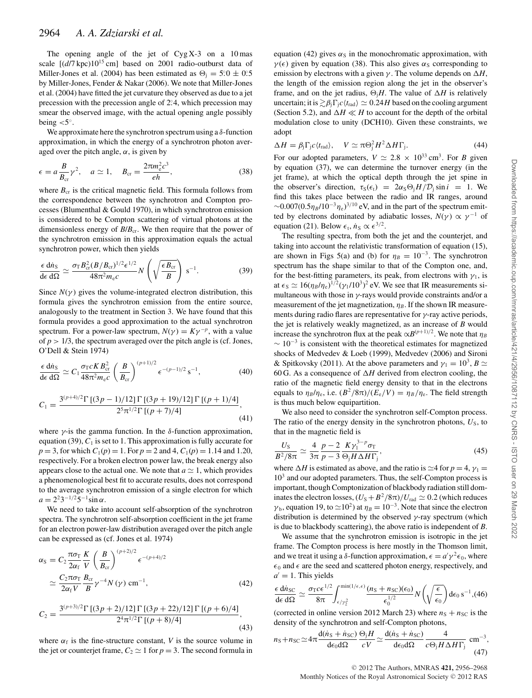The opening angle of the jet of  $Cyg X-3$  on a 10 mas scale  $[(d/7 \text{ kpc})10^{15} \text{ cm}]$  based on 2001 radio-outburst data of Miller-Jones et al. (2004) has been estimated as  $\Theta_j = 5.0 \pm 0.5$ by Miller-Jones, Fender & Nakar (2006). We note that Miller-Jones et al. (2004) have fitted the jet curvature they observed as due to a jet precession with the precession angle of 2.4, which precession may smear the observed image, with the actual opening angle possibly being  $<$  5°.

We approximate here the synchrotron spectrum using a  $\delta$ -function approximation, in which the energy of a synchrotron photon averaged over the pitch angle,  $\alpha$ , is given by

$$
\epsilon = a \frac{B}{B_{\rm cr}} \gamma^2, \quad a \simeq 1, \quad B_{\rm cr} = \frac{2\pi m_{\rm e}^2 c^3}{eh}, \tag{38}
$$

where  $B_{cr}$  is the critical magnetic field. This formula follows from the correspondence between the synchrotron and Compton processes (Blumenthal & Gould 1970), in which synchrotron emission is considered to be Compton scattering of virtual photons at the dimensionless energy of  $B/B<sub>cr</sub>$ . We then require that the power of the synchrotron emission in this approximation equals the actual synchrotron power, which then yields

$$
\frac{\epsilon \, \mathrm{d} n_{\mathrm{S}}}{\mathrm{d} \epsilon \, \mathrm{d} \Omega} \simeq \frac{\sigma_{\mathrm{T}} B_{\mathrm{cr}}^2 (B/B_{\mathrm{cr}})^{1/2} \epsilon^{1/2}}{48 \pi^2 m_{\mathrm{e}} c} N \left( \sqrt{\frac{\epsilon B_{\mathrm{cr}}}{B}} \right) \, \mathrm{s}^{-1}.\tag{39}
$$

Since  $N(\gamma)$  gives the volume-integrated electron distribution, this formula gives the synchrotron emission from the entire source, analogously to the treatment in Section 3. We have found that this formula provides a good approximation to the actual synchrotron spectrum. For a power-law spectrum,  $N(\gamma) = K\gamma^{-p}$ , with a value of  $p > 1/3$ , the spectrum averaged over the pitch angle is (cf. Jones, O'Dell & Stein 1974)

$$
\frac{\epsilon \, \mathrm{d}\dot{n}_{\mathrm{S}}}{\mathrm{d}\epsilon \, \mathrm{d}\Omega} \simeq C_1 \frac{\sigma_{\mathrm{T}} c K B_{\mathrm{cr}}^2}{48\pi^2 m_{\mathrm{e}} c} \left(\frac{B}{B_{\mathrm{cr}}}\right)^{(p+1)/2} \epsilon^{-(p-1)/2} \,\mathrm{s}^{-1},\tag{40}
$$

$$
C_1 = \frac{3^{(p+4)/2} \Gamma [(3p-1)/12] \Gamma [(3p+19)/12] \Gamma [(p+1)/4]}{2^5 \pi^{1/2} \Gamma [(p+7)/4]},\tag{41}
$$

where  $\gamma$ -is the gamma function. In the  $\delta$ -function approximation, equation (39),  $C_1$  is set to 1. This approximation is fully accurate for  $p = 3$ , for which  $C_1(p) = 1$ . For  $p = 2$  and 4,  $C_1(p) = 1.14$  and 1.20, respectively. For a broken electron power law, the break energy also appears close to the actual one. We note that  $a \approx 1$ , which provides a phenomenological best fit to accurate results, does not correspond to the average synchrotron emission of a single electron for which  $a = 2^2 3^{-1/2} 5^{-1} \sin \alpha$ .

We need to take into account self-absorption of the synchrotron spectra. The synchrotron self-absorption coefficient in the jet frame for an electron power-law distribution averaged over the pitch angle can be expressed as (cf. Jones et al. 1974)

$$
\alpha_{\rm S} = C_2 \frac{\pi \sigma_{\rm T}}{2\alpha_{\rm f}} \frac{K}{V} \left(\frac{B}{B_{\rm cr}}\right)^{(p+2)/2} \epsilon^{-(p+4)/2}
$$

$$
\simeq \frac{C_2 \pi \sigma_{\rm T}}{2\alpha_{\rm f} V} \frac{B_{\rm cr}}{B} \gamma^{-4} N(\gamma) \text{ cm}^{-1}, \tag{42}
$$

$$
C_2 = \frac{3^{(p+3)/2} \Gamma [(3p+2)/12] \Gamma [(3p+22)/12] \Gamma [(p+6)/4]}{2^4 \pi^{1/2} \Gamma [(p+8)/4]},
$$
\n(43)

where  $\alpha_f$  is the fine-structure constant, *V* is the source volume in the jet or counterjet frame,  $C_2 \simeq 1$  for  $p = 3$ . The second formula in equation (42) gives  $\alpha_s$  in the monochromatic approximation, with  $\gamma(\epsilon)$  given by equation (38). This also gives  $\alpha_{\rm S}$  corresponding to emission by electrons with a given  $\gamma$ . The volume depends on  $\Delta H$ , the length of the emission region along the jet in the observer's frame, and on the jet radius,  $\Theta_i H$ . The value of  $\Delta H$  is relatively uncertain; it is  $\gtrsim \beta_i \Gamma_i c \langle t_{\text{rad}} \rangle \simeq 0.24H$  based on the cooling argument (Section 5.2), and  $\Delta H \ll H$  to account for the depth of the orbital modulation close to unity (DCH10). Given these constraints, we adopt

$$
\Delta H = \beta_{\rm j} \Gamma_{\rm j} c \langle t_{\rm rad} \rangle, \quad V \simeq \pi \Theta_{\rm j}^2 H^2 \Delta H \Gamma_{\rm j}.
$$
 (44)

For our adopted parameters,  $V \simeq 2.8 \times 10^{33}$  cm<sup>3</sup>. For *B* given by equation (37), we can determine the turnover energy (in the jet frame), at which the optical depth through the jet spine in the observer's direction,  $\tau_S(\epsilon_t) = 2\alpha_S \Theta_i H/D_i \sin i = 1$ . We find this takes place between the radio and IR ranges, around  $\sim 0.007(0.5\eta_B/10^{-3}\eta_e)^{3/10}$  eV, and in the part of the spectrum emitted by electrons dominated by adiabatic losses,  $N(\gamma) \propto \gamma^{-1}$  of equation (21). Below  $\epsilon_t$ ,  $\dot{n}_s \propto \epsilon^{3/2}$ .

The resulting spectra, from both the jet and the counterjet, and taking into account the relativistic transformation of equation (15), are shown in Figs 5(a) and (b) for  $\eta_B = 10^{-3}$ . The synchrotron spectrum has the shape similar to that of the Compton one, and, for the best-fitting parameters, its peak, from electrons with  $\gamma_1$ , is at  $\epsilon_S \simeq 16(\eta_B/\eta_e)^{1/2}(\gamma_1/10^3)^2$  eV. We see that IR measurements simultaneous with those in  $\gamma$ -rays would provide constraints and/or a measurement of the jet magnetization,  $\eta_B$ . If the shown IR measurements during radio flares are representative for  $\gamma$ -ray active periods, the jet is relatively weakly magnetized, as an increase of *B* would increase the synchrotron flux at the peak  $\propto B^{(p+1)/2}$ . We note that  $\eta_B$  $\sim 10^{-3}$  is consistent with the theoretical estimates for magnetized shocks of Medvedev & Loeb (1999), Medvedev (2006) and Sironi & Spitkovsky (2011). At the above parameters and  $\gamma_1 = 10^3$ ,  $B \simeq$ 60 G. As a consequence of  $\Delta H$  derived from electron cooling, the ratio of the magnetic field energy density to that in the electrons equals to  $\eta_B/\eta_e$ , i.e.  $(B^2/8\pi)/(E_e/V) = \eta_B/\eta_e$ . The field strength is thus much below equipartition.

We also need to consider the synchrotron self-Compton process. The ratio of the energy density in the synchrotron photons,  $U_s$ , to that in the magnetic field is

$$
\frac{U_{\rm S}}{B^2/8\pi} \simeq \frac{4}{3\pi} \frac{p-2}{p-3} \frac{K \gamma_1^{3-p} \sigma_{\rm T}}{\Theta_{\rm j} H \Delta H \Gamma_{\rm j}},\tag{45}
$$

where  $\Delta H$  is estimated as above, and the ratio is  $\approx$ 4 for  $p = 4$ ,  $\gamma_1$  $10<sup>3</sup>$  and our adopted parameters. Thus, the self-Compton process is important, though Comptonization of blackbody radiation still dominates the electron losses,  $(U<sub>S</sub>+B<sup>2</sup>/8\pi)/U<sub>rad</sub> \approx 0.2$  (which reduces  $\gamma_b$ , equation 19, to  $\approx 10^2$ ) at  $\eta_B = 10^{-3}$ . Note that since the electron distribution is determined by the observed  $\gamma$ -ray spectrum (which is due to blackbody scattering), the above ratio is independent of *B*.

We assume that the synchrotron emission is isotropic in the jet frame. The Compton process is here mostly in the Thomson limit, and we treat it using a  $\delta$ -function approximation,  $\epsilon = a' \gamma^2 \epsilon_0$ , where  $\epsilon_0$  and  $\epsilon$  are the seed and scattered photon energy, respectively, and  $a' = 1$ . This yields

$$
\frac{\epsilon \, \mathrm{d} \dot{n}_{\rm SC}}{\mathrm{d} \epsilon \, \mathrm{d} \Omega} \simeq \frac{\sigma_{\rm T} c \epsilon^{1/2}}{8 \pi} \int_{\epsilon/\gamma_2^2}^{\min(1/\epsilon, \epsilon)} \frac{(n_{\rm S} + n_{\rm SC})(\epsilon_0)}{\epsilon_0^{1/2}} N\left(\sqrt{\frac{\epsilon}{\epsilon_0}}\right) \mathrm{d} \epsilon_0 \, \mathrm{s}^{-1}, (46)
$$

(corrected in online version 2012 March 23) where  $n<sub>S</sub> + n<sub>SC</sub>$  is the density of the synchrotron and self-Compton photons,

$$
n_{\rm S} + n_{\rm SC} \simeq 4\pi \frac{\mathrm{d}(n_{\rm S} + n_{\rm SC})}{\mathrm{d}\epsilon_0 \mathrm{d}\Omega} \frac{\Theta_{\rm j} H}{cV} \simeq \frac{\mathrm{d}(n_{\rm S} + n_{\rm SC})}{\mathrm{d}\epsilon_0 \mathrm{d}\Omega} \frac{4}{c\Theta_{\rm j} H \Delta H \Gamma_{\rm j}} \text{ cm}^{-3},\tag{47}
$$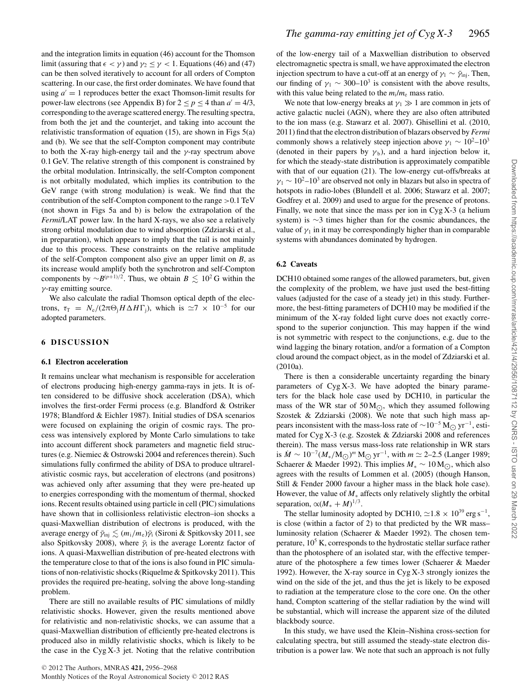and the integration limits in equation (46) account for the Thomson limit (assuring that  $\epsilon < \gamma$ ) and  $\gamma_2 \leq \gamma < 1$ . Equations (46) and (47) can be then solved iteratively to account for all orders of Compton scattering. In our case, the first order dominates. We have found that using  $a' = 1$  reproduces better the exact Thomson-limit results for power-law electrons (see Appendix B) for  $2 \le p \le 4$  than  $a' = 4/3$ , corresponding to the average scattered energy. The resulting spectra, from both the jet and the counterjet, and taking into account the relativistic transformation of equation (15), are shown in Figs 5(a) and (b). We see that the self-Compton component may contribute to both the X-ray high-energy tail and the  $\gamma$ -ray spectrum above 0.1 GeV. The relative strength of this component is constrained by the orbital modulation. Intrinsically, the self-Compton component is not orbitally modulated, which implies its contribution to the GeV range (with strong modulation) is weak. We find that the contribution of the self-Compton component to the range >0.1 TeV (not shown in Figs 5a and b) is below the extrapolation of the *Fermi*/LAT power law. In the hard X-rays, we also see a relatively strong orbital modulation due to wind absorption (Zdziarski et al., in preparation), which appears to imply that the tail is not mainly due to this process. These constraints on the relative amplitude of the self-Compton component also give an upper limit on *B*, as its increase would amplify both the synchrotron and self-Compton components by  $\sim B^{(p+1)/2}$ . Thus, we obtain  $B \lesssim 10^2$  G within the γ-ray emitting source.

We also calculate the radial Thomson optical depth of the electrons,  $\tau_{\rm T} = N_{\rm e}/(2\pi\Theta_{\rm i}H\Delta H\Gamma_{\rm i})$ , which is  $\simeq 7 \times 10^{-5}$  for our adopted parameters.

#### **6 DISCUSSION**

#### **6.1 Electron acceleration**

It remains unclear what mechanism is responsible for acceleration of electrons producing high-energy gamma-rays in jets. It is often considered to be diffusive shock acceleration (DSA), which involves the first-order Fermi process (e.g. Blandford & Ostriker 1978; Blandford & Eichler 1987). Initial studies of DSA scenarios were focused on explaining the origin of cosmic rays. The process was intensively explored by Monte Carlo simulations to take into account different shock parameters and magnetic field structures (e.g. Niemiec & Ostrowski 2004 and references therein). Such simulations fully confirmed the ability of DSA to produce ultrarelativistic cosmic rays, but acceleration of electrons (and positrons) was achieved only after assuming that they were pre-heated up to energies corresponding with the momentum of thermal, shocked ions. Recent results obtained using particle in cell (PIC) simulations have shown that in collisionless relativistic electron–ion shocks a quasi-Maxwellian distribution of electrons is produced, with the average energy of  $\bar{\gamma}_{\rm inj} \lesssim (m_{\rm i}/m_{\rm e}) \bar{\gamma}_{\rm i}$  (Sironi & Spitkovsky 2011, see also Spitkovsky 2008), where  $\bar{y}_i$  is the average Lorentz factor of ions. A quasi-Maxwellian distribution of pre-heated electrons with the temperature close to that of the ions is also found in PIC simulations of non-relativistic shocks (Riquelme & Spitkovsky 2011). This provides the required pre-heating, solving the above long-standing problem.

There are still no available results of PIC simulations of mildly relativistic shocks. However, given the results mentioned above for relativistic and non-relativistic shocks, we can assume that a quasi-Maxwellian distribution of efficiently pre-heated electrons is produced also in mildly relativistic shocks, which is likely to be the case in the Cyg X-3 jet. Noting that the relative contribution of the low-energy tail of a Maxwellian distribution to observed electromagnetic spectra is small, we have approximated the electron injection spectrum to have a cut-off at an energy of  $\gamma_1 \sim \bar{\gamma}_{\text{ini}}$ . Then, our finding of  $\gamma_1 \sim 300-10^3$  is consistent with the above results, with this value being related to the  $m_i/m_e$  mass ratio.

We note that low-energy breaks at  $\gamma_1 \gg 1$  are common in jets of active galactic nuclei (AGN), where they are also often attributed to the ion mass (e.g. Stawarz et al. 2007). Ghisellini et al. (2010, 2011) find that the electron distribution of blazars observed by *Fermi* commonly shows a relatively steep injection above  $\gamma_1 \sim 10^2$ – $10^3$ (denoted in their papers by  $\gamma_b$ ), and a hard injection below it, for which the steady-state distribution is approximately compatible with that of our equation (21). The low-energy cut-offs/breaks at  $\gamma_1 \sim 10^2$ –10<sup>3</sup> are observed not only in blazars but also in spectra of hotspots in radio-lobes (Blundell et al. 2006; Stawarz et al. 2007; Godfrey et al. 2009) and used to argue for the presence of protons. Finally, we note that since the mass per ion in Cyg X-3 (a helium system) is ∼3 times higher than for the cosmic abundances, the value of  $\gamma_1$  in it may be correspondingly higher than in comparable systems with abundances dominated by hydrogen.

#### **6.2 Caveats**

DCH10 obtained some ranges of the allowed parameters, but, given the complexity of the problem, we have just used the best-fitting values (adjusted for the case of a steady jet) in this study. Furthermore, the best-fitting parameters of DCH10 may be modified if the minimum of the X-ray folded light curve does not exactly correspond to the superior conjunction. This may happen if the wind is not symmetric with respect to the conjunctions, e.g. due to the wind lagging the binary rotation, and/or a formation of a Compton cloud around the compact object, as in the model of Zdziarski et al.  $(2010a)$ 

There is then a considerable uncertainty regarding the binary parameters of Cyg X-3. We have adopted the binary parameters for the black hole case used by DCH10, in particular the mass of the WR star of  $50 M_{\odot}$ , which they assumed following Szostek & Zdziarski (2008). We note that such high mass appears inconsistent with the mass-loss rate of  $\sim 10^{-5}$  M $\odot$  yr<sup>-1</sup>, estimated for Cyg X-3 (e.g. Szostek & Zdziarski 2008 and references therein). The mass versus mass-loss rate relationship in WR stars is  $\dot{M} \sim 10^{-7} (M_*/{\rm M}_{\odot})^m$  M<sub> $\odot$ </sub> yr<sup>-1</sup>, with  $m \simeq$  2-2.5 (Langer 1989; Schaerer & Maeder 1992). This implies  $M_* \sim 10 \,\text{M}_\odot$ , which also agrees with the results of Lommen et al. (2005) (though Hanson, Still & Fender 2000 favour a higher mass in the black hole case). However, the value of  $M_*$  affects only relatively slightly the orbital separation,  $\alpha (M^* + M)^{1/3}$ .

The stellar luminosity adopted by DCH10,  $\approx$  1.8 × 10<sup>39</sup> erg s<sup>-1</sup>, is close (within a factor of 2) to that predicted by the WR mass– luminosity relation (Schaerer & Maeder 1992). The chosen temperature,  $10<sup>5</sup>$  K, corresponds to the hydrostatic stellar surface rather than the photosphere of an isolated star, with the effective temperature of the photosphere a few times lower (Schaerer & Maeder 1992). However, the X-ray source in Cyg X-3 strongly ionizes the wind on the side of the jet, and thus the jet is likely to be exposed to radiation at the temperature close to the core one. On the other hand, Compton scattering of the stellar radiation by the wind will be substantial, which will increase the apparent size of the diluted blackbody source.

In this study, we have used the Klein–Nishina cross-section for calculating spectra, but still assumed the steady-state electron distribution is a power law. We note that such an approach is not fully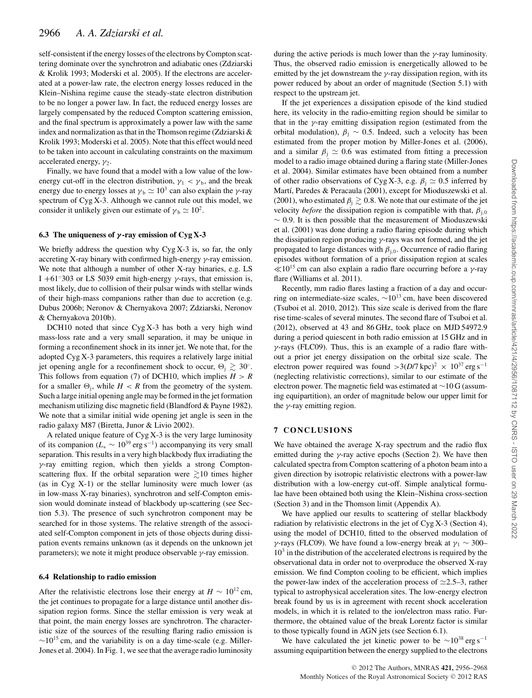self-consistent if the energy losses of the electrons by Compton scattering dominate over the synchrotron and adiabatic ones (Zdziarski & Krolik 1993; Moderski et al. 2005). If the electrons are accelerated at a power-law rate, the electron energy losses reduced in the Klein–Nishina regime cause the steady-state electron distribution to be no longer a power law. In fact, the reduced energy losses are largely compensated by the reduced Compton scattering emission, and the final spectrum is approximately a power law with the same index and normalization as that in the Thomson regime (Zdziarski & Krolik 1993; Moderski et al. 2005). Note that this effect would need to be taken into account in calculating constraints on the maximum accelerated energy,  $\gamma_2$ .

Finally, we have found that a model with a low value of the lowenergy cut-off in the electron distribution,  $\gamma_1 < \gamma_b$ , and the break energy due to energy losses at  $\gamma_b \simeq 10^3$  can also explain the *γ*-ray spectrum of Cyg X-3. Although we cannot rule out this model, we consider it unlikely given our estimate of  $\gamma_b \simeq 10^2$ .

#### **6.3 The uniqueness of** *γ* **-ray emission of Cyg X-3**

We briefly address the question why  $Cyg X-3$  is, so far, the only accreting X-ray binary with confirmed high-energy  $\gamma$ -ray emission. We note that although a number of other X-ray binaries, e.g. LS I +61 $\degree$ 303 or LS 5039 emit high-energy γ-rays, that emission is, most likely, due to collision of their pulsar winds with stellar winds of their high-mass companions rather than due to accretion (e.g. Dubus 2006b; Neronov & Chernyakova 2007; Zdziarski, Neronov & Chernyakova 2010b).

DCH10 noted that since  $Cyg X-3$  has both a very high wind mass-loss rate and a very small separation, it may be unique in forming a reconfinement shock in its inner jet. We note that, for the adopted Cyg X-3 parameters, this requires a relatively large initial jet opening angle for a reconfinement shock to occur,  $\Theta_i \gtrsim 30^\circ$ . This follows from equation (7) of DCH10, which implies  $H > R$ for a smaller  $\Theta_i$ , while  $H < R$  from the geometry of the system. Such a large initial opening angle may be formed in the jet formation mechanism utilizing disc magnetic field (Blandford & Payne 1982). We note that a similar initial wide opening jet angle is seen in the radio galaxy M87 (Biretta, Junor & Livio 2002).

A related unique feature of Cyg X-3 is the very large luminosity of its companion (*L*<sup>∗</sup> ∼ 1039 erg s<sup>−</sup>1) accompanying its very small separation. This results in a very high blackbody flux irradiating the γ-ray emitting region, which then yields a strong Comptonscattering flux. If the orbital separation were  $\geq 10$  times higher (as in Cyg X-1) or the stellar luminosity were much lower (as in low-mass X-ray binaries), synchrotron and self-Compton emission would dominate instead of blackbody up-scattering (see Section 5.3). The presence of such synchrotron component may be searched for in those systems. The relative strength of the associated self-Compton component in jets of those objects during dissipation events remains unknown (as it depends on the unknown jet parameters); we note it might produce observable  $\gamma$ -ray emission.

#### **6.4 Relationship to radio emission**

After the relativistic electrons lose their energy at  $H \sim 10^{12}$  cm, the jet continues to propagate for a large distance until another dissipation region forms. Since the stellar emission is very weak at that point, the main energy losses are synchrotron. The characteristic size of the sources of the resulting flaring radio emission is  $\sim$ 10<sup>15</sup> cm, and the variability is on a day time-scale (e.g. Miller-Jones et al. 2004). In Fig. 1, we see that the average radio luminosity

during the active periods is much lower than the  $\gamma$ -ray luminosity. Thus, the observed radio emission is energetically allowed to be emitted by the jet downstream the  $\gamma$ -ray dissipation region, with its power reduced by about an order of magnitude (Section 5.1) with respect to the upstream jet.

If the jet experiences a dissipation episode of the kind studied here, its velocity in the radio-emitting region should be similar to that in the  $\gamma$ -ray emitting dissipation region (estimated from the orbital modulation),  $\beta_i \sim 0.5$ . Indeed, such a velocity has been estimated from the proper motion by Miller-Jones et al. (2006), and a similar  $\beta_i \simeq 0.6$  was estimated from fitting a precession model to a radio image obtained during a flaring state (Miller-Jones et al. 2004). Similar estimates have been obtained from a number of other radio observations of Cyg X-3, e.g.  $\beta_1 \simeq 0.5$  inferred by Martí, Paredes & Peracaula (2001), except for Mioduszewski et al. (2001), who estimated  $\beta_i \gtrsim 0.8$ . We note that our estimate of the jet velocity *before* the dissipation region is compatible with that,  $\beta_{i,0}$  $~\sim 0.9$ . It is then possible that the measurement of Mioduszewski et al. (2001) was done during a radio flaring episode during which the dissipation region producing  $\gamma$ -rays was not formed, and the jet propagated to large distances with  $\beta_{i,0}$ . Occurrence of radio flaring episodes without formation of a prior dissipation region at scales  $\ll 10^{15}$  cm can also explain a radio flare occurring before a *γ*-ray flare (Williams et al. 2011).

Recently, mm radio flares lasting a fraction of a day and occurring on intermediate-size scales,  $\sim 10^{13}$  cm, have been discovered (Tsuboi et al. 2010, 2012). This size scale is derived from the flare rise time-scales of several minutes. The second flare of Tsuboi et al. (2012), observed at 43 and 86 GHz, took place on MJD 54972.9 during a period quiescent in both radio emission at 15 GHz and in  $\gamma$ -rays (FLC09). Thus, this is an example of a radio flare without a prior jet energy dissipation on the orbital size scale. The electron power required was found  $>3(D/7 \text{ kpc})^2 \times 10^{37} \text{ erg s}^{-1}$ (neglecting relativistic corrections), similar to our estimate of the electron power. The magnetic field was estimated at ∼10 G (assuming equipartition), an order of magnitude below our upper limit for the  $\gamma$ -ray emitting region.

# **7 CONCLUSIONS**

We have obtained the average X-ray spectrum and the radio flux emitted during the  $\gamma$ -ray active epochs (Section 2). We have then calculated spectra from Compton scattering of a photon beam into a given direction by isotropic relativistic electrons with a power-law distribution with a low-energy cut-off. Simple analytical formulae have been obtained both using the Klein–Nishina cross-section (Section 3) and in the Thomson limit (Appendix A).

We have applied our results to scattering of stellar blackbody radiation by relativistic electrons in the jet of Cyg X-3 (Section 4), using the model of DCH10, fitted to the observed modulation of γ-rays (FLC09). We have found a low-energy break at  $\gamma_1 \sim 300 10<sup>3</sup>$  in the distribution of the accelerated electrons is required by the observational data in order not to overproduce the observed X-ray emission. We find Compton cooling to be efficient, which implies the power-law index of the acceleration process of  $\approx 2.5-3$ , rather typical to astrophysical acceleration sites. The low-energy electron break found by us is in agreement with recent shock acceleration models, in which it is related to the ion/electron mass ratio. Furthermore, the obtained value of the break Lorentz factor is similar to those typically found in AGN jets (see Section 6.1).

We have calculated the jet kinetic power to be  $\sim 10^{38}$  erg s<sup>-1</sup> assuming equipartition between the energy supplied to the electrons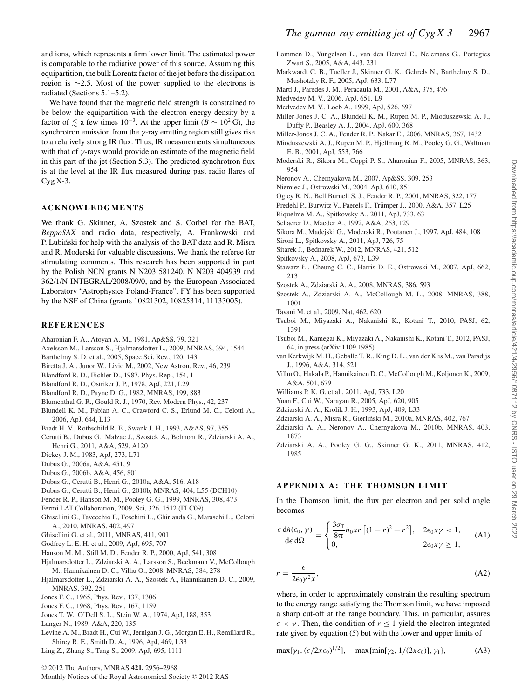and ions, which represents a firm lower limit. The estimated power is comparable to the radiative power of this source. Assuming this equipartition, the bulk Lorentz factor of the jet before the dissipation region is ∼2.5. Most of the power supplied to the electrons is radiated (Sections 5.1–5.2).

We have found that the magnetic field strength is constrained to be below the equipartition with the electron energy density by a factor of  $\lesssim$  a few times 10<sup>-3</sup>. At the upper limit (*B* ~ 10<sup>2</sup> G), the synchrotron emission from the  $\gamma$ -ray emitting region still gives rise to a relatively strong IR flux. Thus, IR measurements simultaneous with that of  $\gamma$ -rays would provide an estimate of the magnetic field in this part of the jet (Section 5.3). The predicted synchrotron flux is at the level at the IR flux measured during past radio flares of  $Cyg X-3.$ 

# **ACKNOWLEDGMENTS**

We thank G. Skinner, A. Szostek and S. Corbel for the BAT, *BeppoSAX* and radio data, respectively, A. Frankowski and P. Lubiński for help with the analysis of the BAT data and R. Misra and R. Moderski for valuable discussions. We thank the referee for stimulating comments. This research has been supported in part by the Polish NCN grants N N203 581240, N N203 404939 and 362/1/N-INTEGRAL/2008/09/0, and by the European Associated Laboratory "Astrophysics Poland-France". FY has been supported by the NSF of China (grants 10821302, 10825314, 11133005).

### **REFERENCES**

- Aharonian F. A., Atoyan A. M., 1981, Ap&SS, 79, 321
- Axelsson M., Larsson S., Hjalmarsdotter L., 2009, MNRAS, 394, 1544
- Barthelmy S. D. et al., 2005, Space Sci. Rev., 120, 143
- Biretta J. A., Junor W., Livio M., 2002, New Astron. Rev., 46, 239
- Blandford R. D., Eichler D., 1987, Phys. Rep., 154, 1
- Blandford R. D., Ostriker J. P., 1978, ApJ, 221, L29
- Blandford R. D., Payne D. G., 1982, MNRAS, 199, 883
- Blumenthal G. R., Gould R. J., 1970, Rev. Modern Phys., 42, 237
- Blundell K. M., Fabian A. C., Crawford C. S., Erlund M. C., Celotti A., 2006, ApJ, 644, L13
- Bradt H. V., Rothschild R. E., Swank J. H., 1993, A&AS, 97, 355
- Cerutti B., Dubus G., Malzac J., Szostek A., Belmont R., Zdziarski A. A., Henri G., 2011, A&A, 529, A120
- Dickey J. M., 1983, ApJ, 273, L71
- Dubus G., 2006a, A&A, 451, 9
- Dubus G., 2006b, A&A, 456, 801
- Dubus G., Cerutti B., Henri G., 2010a, A&A, 516, A18
- Dubus G., Cerutti B., Henri G., 2010b, MNRAS, 404, L55 (DCH10)
- Fender R. P., Hanson M. M., Pooley G. G., 1999, MNRAS, 308, 473
- Fermi LAT Collaboration, 2009, Sci, 326, 1512 (FLC09)
- Ghisellini G., Tavecchio F., Foschini L., Ghirlanda G., Maraschi L., Celotti A., 2010, MNRAS, 402, 497
- Ghisellini G. et al., 2011, MNRAS, 411, 901
- Godfrey L. E. H. et al., 2009, ApJ, 695, 707
- Hanson M. M., Still M. D., Fender R. P., 2000, ApJ, 541, 308
- Hjalmarsdotter L., Zdziarski A. A., Larsson S., Beckmann V., McCollough M., Hannikainen D. C., Vilhu O., 2008, MNRAS, 384, 278
- Hjalmarsdotter L., Zdziarski A. A., Szostek A., Hannikainen D. C., 2009, MNRAS, 392, 251
- Jones F. C., 1965, Phys. Rev., 137, 1306
- Jones F. C., 1968, Phys. Rev., 167, 1159
- Jones T. W., O'Dell S. L., Stein W. A., 1974, ApJ, 188, 353
- Langer N., 1989, A&A, 220, 135
- Levine A. M., Bradt H., Cui W., Jernigan J. G., Morgan E. H., Remillard R., Shirey R. E., Smith D. A., 1996, ApJ, 469, L33
- Ling Z., Zhang S., Tang S., 2009, ApJ, 695, 1111
- <sup>C</sup> 2012 The Authors, MNRAS **421,** 2956–2968 Monthly Notices of the Royal Astronomical Society © 2012 RAS
- Lommen D., Yungelson L., van den Heuvel E., Nelemans G., Portegies Zwart S., 2005, A&A, 443, 231
- Markwardt C. B., Tueller J., Skinner G. K., Gehrels N., Barthelmy S. D., Mushotzky R. F., 2005, ApJ, 633, L77
- Martí J., Paredes J. M., Peracaula M., 2001, A&A, 375, 476
- Medvedev M. V., 2006, ApJ, 651, L9
- Medvedev M. V., Loeb A., 1999, ApJ, 526, 697
- Miller-Jones J. C. A., Blundell K. M., Rupen M. P., Mioduszewski A. J., Duffy P., Beasley A. J., 2004, ApJ, 600, 368
- Miller-Jones J. C. A., Fender R. P., Nakar E., 2006, MNRAS, 367, 1432
- Mioduszewski A. J., Rupen M. P., Hjellming R. M., Pooley G. G., Waltman E. B., 2001, ApJ, 553, 766
- Moderski R., Sikora M., Coppi P. S., Aharonian F., 2005, MNRAS, 363, 954
- Neronov A., Chernyakova M., 2007, Ap&SS, 309, 253
- Niemiec J., Ostrowski M., 2004, ApJ, 610, 851
- Ogley R. N., Bell Burnell S. J., Fender R. P., 2001, MNRAS, 322, 177
- Predehl P., Burwitz V., Paerels F., Trümper J., 2000, A&A, 357, L25
- Riquelme M. A., Spitkovsky A., 2011, ApJ, 733, 63
- Schaerer D., Maeder A., 1992, A&A, 263, 129
- Sikora M., Madejski G., Moderski R., Poutanen J., 1997, ApJ, 484, 108
- Sironi L., Spitkovsky A., 2011, ApJ, 726, 75
- Sitarek J., Bednarek W., 2012, MNRAS, 421, 512
- Spitkovsky A., 2008, ApJ, 673, L39
- Stawarz Ł., Cheung C. C., Harris D. E., Ostrowski M., 2007, ApJ, 662, 213
- Szostek A., Zdziarski A. A., 2008, MNRAS, 386, 593
- Szostek A., Zdziarski A. A., McCollough M. L., 2008, MNRAS, 388, 1001
- Tavani M. et al., 2009, Nat, 462, 620
- Tsuboi M., Miyazaki A., Nakanishi K., Kotani T., 2010, PASJ, 62, 1391
- Tsuboi M., Kamegai K., Miyazaki A., Nakanishi K., Kotani T., 2012, PASJ, 64, in press (arXiv:1109.1985)
- van Kerkwijk M. H., Geballe T. R., King D. L., van der Klis M., van Paradijs J., 1996, A&A, 314, 521
- Vilhu O., Hakala P., Hannikainen D. C., McCollough M., Koljonen K., 2009, A&A, 501, 679
- Williams P. K. G. et al., 2011, ApJ, 733, L20
- Yuan F., Cui W., Narayan R., 2005, ApJ, 620, 905
- Zdziarski A. A., Krolik J. H., 1993, ApJ, 409, L33
- Zdziarski A. A., Misra R., Gierlinski M., 2010a, MNRAS, 402, 767 ´
- Zdziarski A. A., Neronov A., Chernyakova M., 2010b, MNRAS, 403, 1873
- Zdziarski A. A., Pooley G. G., Skinner G. K., 2011, MNRAS, 412, 1985

#### **APPENDIX A: THE THOMSON LIMIT**

In the Thomson limit, the flux per electron and per solid angle becomes

$$
\frac{\epsilon \operatorname{d}\! n(\epsilon_0, \gamma)}{\operatorname{d}\! \epsilon \operatorname{d}\! \Omega} = \begin{cases} \frac{3\sigma_{\rm T}}{8\pi} \dot{n}_0 x r \left[ (1 - r)^2 + r^2 \right], & 2\epsilon_0 x \gamma < 1, \\ 0, & 2\epsilon_0 x \gamma \ge 1, \end{cases} \tag{A1}
$$

$$
r = \frac{\epsilon}{2\epsilon_0 \gamma^2 x},\tag{A2}
$$

where, in order to approximately constrain the resulting spectrum to the energy range satisfying the Thomson limit, we have imposed a sharp cut-off at the range boundary. This, in particular, assures  $\epsilon < \gamma$ . Then, the condition of  $r \leq 1$  yield the electron-integrated rate given by equation (5) but with the lower and upper limits of

 $\max[\gamma_1, (\epsilon/2\pi\epsilon_0)^{1/2}], \quad \max\{\min[\gamma_2, 1/(2\pi\epsilon_0)], \gamma_1\},$  (A3)